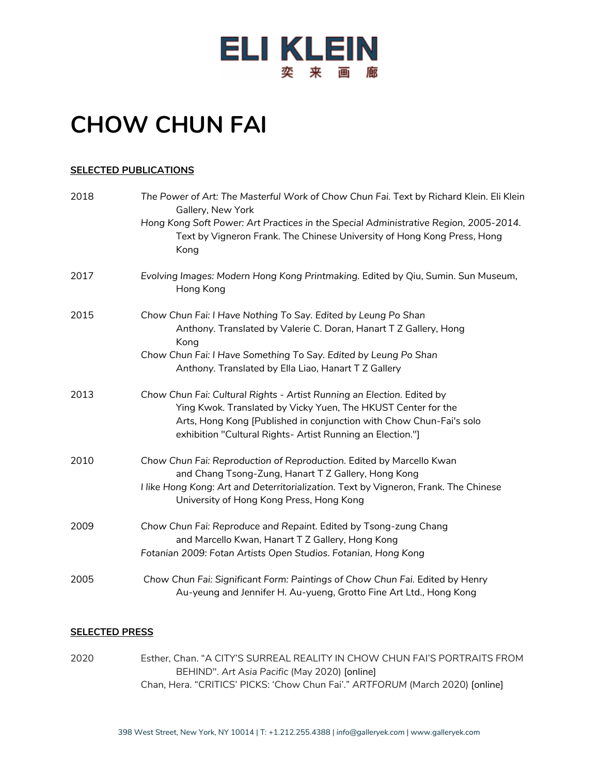

## **CHOW CHUN FAI**

## **SELECTED PUBLICATIONS**

| 2018 | The Power of Art: The Masterful Work of Chow Chun Fai. Text by Richard Klein. Eli Klein<br>Gallery, New York                                                                                                                                                                 |
|------|------------------------------------------------------------------------------------------------------------------------------------------------------------------------------------------------------------------------------------------------------------------------------|
|      | Hong Kong Soft Power: Art Practices in the Special Administrative Region, 2005-2014.<br>Text by Vigneron Frank. The Chinese University of Hong Kong Press, Hong<br>Kong                                                                                                      |
| 2017 | Evolving Images: Modern Hong Kong Printmaking. Edited by Qiu, Sumin. Sun Museum,<br>Hong Kong                                                                                                                                                                                |
| 2015 | Chow Chun Fai: I Have Nothing To Say. Edited by Leung Po Shan<br>Anthony. Translated by Valerie C. Doran, Hanart T Z Gallery, Hong<br>Kong                                                                                                                                   |
|      | Chow Chun Fai: I Have Something To Say. Edited by Leung Po Shan<br>Anthony. Translated by Ella Liao, Hanart T Z Gallery                                                                                                                                                      |
| 2013 | Chow Chun Fai: Cultural Rights - Artist Running an Election. Edited by<br>Ying Kwok. Translated by Vicky Yuen, The HKUST Center for the<br>Arts, Hong Kong [Published in conjunction with Chow Chun-Fai's solo<br>exhibition "Cultural Rights- Artist Running an Election."] |
| 2010 | Chow Chun Fai: Reproduction of Reproduction. Edited by Marcello Kwan<br>and Chang Tsong-Zung, Hanart T Z Gallery, Hong Kong<br>I like Hong Kong: Art and Deterritorialization. Text by Vigneron, Frank. The Chinese<br>University of Hong Kong Press, Hong Kong              |
| 2009 | Chow Chun Fai: Reproduce and Repaint. Edited by Tsong-zung Chang<br>and Marcello Kwan, Hanart T Z Gallery, Hong Kong<br>Fotanian 2009: Fotan Artists Open Studios. Fotanian, Hong Kong                                                                                       |
| 2005 | Chow Chun Fai: Significant Form: Paintings of Chow Chun Fai. Edited by Henry<br>Au-yeung and Jennifer H. Au-yueng, Grotto Fine Art Ltd., Hong Kong                                                                                                                           |

## **SELECTED PRESS**

2020 Esther, Chan. "A CITY'S SURREAL REALITY IN CHOW CHUN FAI'S PORTRAITS FROM BEHIND". *Art Asia Pacific* (May 2020) [online] Chan, Hera. "CRITICS' PICKS: 'Chow Chun Fai'." *ARTFORUM* (March 2020) [online]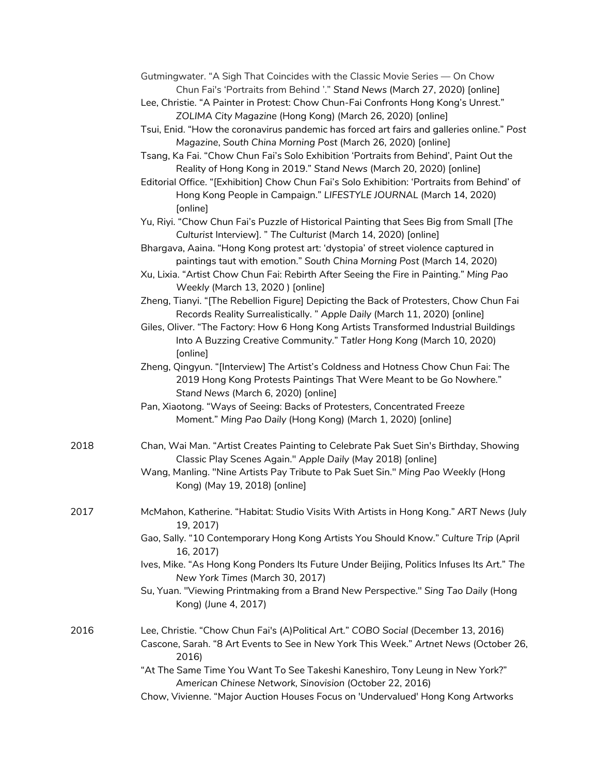| Gutmingwater. "A Sigh That Coincides with the Classic Movie Series — On Chow |  |
|------------------------------------------------------------------------------|--|
| Chun Fai's 'Portraits from Behind '." Stand News (March 27, 2020) [online]   |  |

- Lee, Christie. "A Painter in Protest: Chow Chun-Fai Confronts Hong Kong's Unrest." *ZOLIMA City Magazine* (Hong Kong) (March 26, 2020) [online]
- Tsui, Enid. "How the coronavirus pandemic has forced art fairs and galleries online." *Post Magazine*, *South China Morning Post* (March 26, 2020) [online]
- Tsang, Ka Fai. "Chow Chun Fai's Solo Exhibition 'Portraits from Behind', Paint Out the Reality of Hong Kong in 2019." *Stand News* (March 20, 2020) [online]
- Editorial Office. "[Exhibition] Chow Chun Fai's Solo Exhibition: 'Portraits from Behind' of Hong Kong People in Campaign." *LIFESTYLE JOURNAL* (March 14, 2020) [online]
- Yu, Riyi. "Chow Chun Fai's Puzzle of Historical Painting that Sees Big from Small [*The Culturist* Interview]. " *The Culturist* (March 14, 2020) [online]
- Bhargava, Aaina. "Hong Kong protest art: 'dystopia' of street violence captured in paintings taut with emotion." *South China Morning Post* (March 14, 2020)
- Xu, Lixia. "Artist Chow Chun Fai: Rebirth After Seeing the Fire in Painting." *Ming Pao Weekly* (March 13, 2020 ) [online]
- Zheng, Tianyi. "[The Rebellion Figure] Depicting the Back of Protesters, Chow Chun Fai Records Reality Surrealistically. " *Apple Daily* (March 11, 2020) [online]
- Giles, Oliver. "The Factory: How 6 Hong Kong Artists Transformed Industrial Buildings Into A Buzzing Creative Community." *Tatler Hong Kong* (March 10, 2020) [online]
- Zheng, Qingyun. "[Interview] The Artist's Coldness and Hotness Chow Chun Fai: The 2019 Hong Kong Protests Paintings That Were Meant to be Go Nowhere." *Stand News* (March 6, 2020) [online]
- Pan, Xiaotong. "Ways of Seeing: Backs of Protesters, Concentrated Freeze Moment." *Ming Pao Daily* (Hong Kong) (March 1, 2020) [online]
- 2018 Chan, Wai Man. "Artist Creates Painting to Celebrate Pak Suet Sin's Birthday, Showing Classic Play Scenes Again." *Apple Daily* (May 2018) [online]
	- Wang, Manling. "Nine Artists Pay Tribute to Pak Suet Sin." *Ming Pao Weekly* (Hong Kong) (May 19, 2018) [online]
- 2017 McMahon, Katherine. "Habitat: Studio Visits With Artists in Hong Kong." *ART News* (July 19, 2017)
	- Gao, Sally. "10 Contemporary Hong Kong Artists You Should Know." *Culture Trip* (April 16, 2017)
	- Ives, Mike. "As Hong Kong Ponders Its Future Under Beijing, Politics Infuses Its Art." *The New York Times* (March 30, 2017)
	- Su, Yuan. "Viewing Printmaking from a Brand New Perspective." *Sing Tao Daily* (Hong Kong) (June 4, 2017)
- 2016 Lee, Christie. "Chow Chun Fai's (A)Political Art." *COBO Social* (December 13, 2016) Cascone, Sarah. "8 Art Events to See in New York This Week." *Artnet News* (October 26, 2016)
	- "At The Same Time You Want To See Takeshi Kaneshiro, Tony Leung in New York?" *American Chinese Network, Sinovision* (October 22, 2016)
	- Chow, Vivienne. "Major Auction Houses Focus on 'Undervalued' Hong Kong Artworks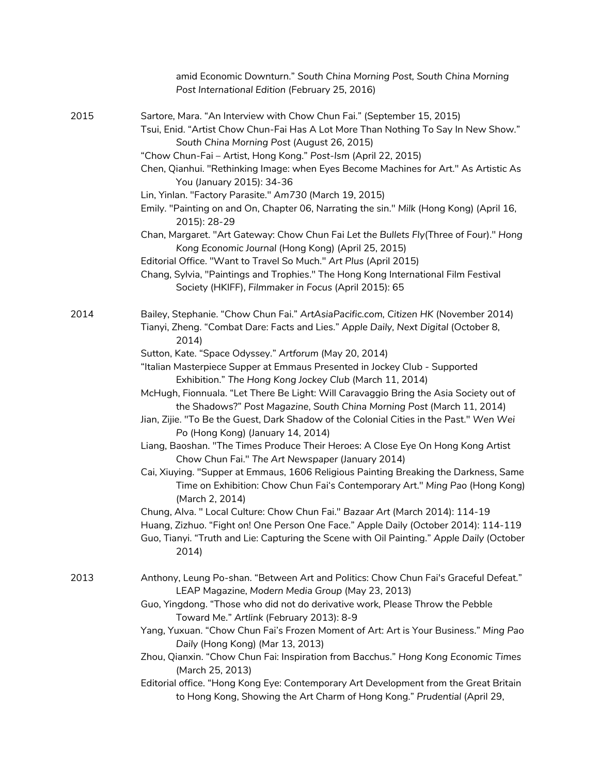|      | amid Economic Downturn." South China Morning Post, South China Morning<br>Post International Edition (February 25, 2016)                                                                                                                                                                                                                                                                                                                                                                                                                                                                                                                                                                                                                                                                                                                                                                                                                                                                                                                                                                                                                                                                                                                                                                                |
|------|---------------------------------------------------------------------------------------------------------------------------------------------------------------------------------------------------------------------------------------------------------------------------------------------------------------------------------------------------------------------------------------------------------------------------------------------------------------------------------------------------------------------------------------------------------------------------------------------------------------------------------------------------------------------------------------------------------------------------------------------------------------------------------------------------------------------------------------------------------------------------------------------------------------------------------------------------------------------------------------------------------------------------------------------------------------------------------------------------------------------------------------------------------------------------------------------------------------------------------------------------------------------------------------------------------|
| 2015 | Sartore, Mara. "An Interview with Chow Chun Fai." (September 15, 2015)<br>Tsui, Enid. "Artist Chow Chun-Fai Has A Lot More Than Nothing To Say In New Show."<br>South China Morning Post (August 26, 2015)<br>"Chow Chun-Fai - Artist, Hong Kong." Post-Ism (April 22, 2015)<br>Chen, Qianhui. "Rethinking Image: when Eyes Become Machines for Art." As Artistic As<br>You (January 2015): 34-36<br>Lin, Yinlan. "Factory Parasite." Am730 (March 19, 2015)<br>Emily. "Painting on and On, Chapter 06, Narrating the sin." Milk (Hong Kong) (April 16,<br>2015): 28-29<br>Chan, Margaret. "Art Gateway: Chow Chun Fai Let the Bullets Fly(Three of Four)." Hong<br>Kong Economic Journal (Hong Kong) (April 25, 2015)<br>Editorial Office. "Want to Travel So Much." Art Plus (April 2015)<br>Chang, Sylvia, "Paintings and Trophies." The Hong Kong International Film Festival<br>Society (HKIFF), Filmmaker in Focus (April 2015): 65                                                                                                                                                                                                                                                                                                                                                               |
| 2014 | Bailey, Stephanie. "Chow Chun Fai." ArtAsiaPacific.com, Citizen HK (November 2014)<br>Tianyi, Zheng. "Combat Dare: Facts and Lies." Apple Daily, Next Digital (October 8,<br>2014)<br>Sutton, Kate. "Space Odyssey." Artforum (May 20, 2014)<br>"Italian Masterpiece Supper at Emmaus Presented in Jockey Club - Supported<br>Exhibition." The Hong Kong Jockey Club (March 11, 2014)<br>McHugh, Fionnuala. "Let There Be Light: Will Caravaggio Bring the Asia Society out of<br>the Shadows?" Post Magazine, South China Morning Post (March 11, 2014)<br>Jian, Zijie. "To Be the Guest, Dark Shadow of the Colonial Cities in the Past." Wen Wei<br>Po (Hong Kong) (January 14, 2014)<br>Liang, Baoshan. "The Times Produce Their Heroes: A Close Eye On Hong Kong Artist<br>Chow Chun Fai." The Art Newspaper (January 2014)<br>Cai, Xiuying. "Supper at Emmaus, 1606 Religious Painting Breaking the Darkness, Same<br>Time on Exhibition: Chow Chun Fai's Contemporary Art." Ming Pao (Hong Kong)<br>(March 2, 2014)<br>Chung, Alva. " Local Culture: Chow Chun Fai." Bazaar Art (March 2014): 114-19<br>Huang, Zizhuo. "Fight on! One Person One Face." Apple Daily (October 2014): 114-119<br>Guo, Tianyi. "Truth and Lie: Capturing the Scene with Oil Painting." Apple Daily (October<br>2014 |
| 2013 | Anthony, Leung Po-shan. "Between Art and Politics: Chow Chun Fai's Graceful Defeat."<br>LEAP Magazine, Modern Media Group (May 23, 2013)<br>Guo, Yingdong. "Those who did not do derivative work, Please Throw the Pebble<br>Toward Me." Artlink (February 2013): 8-9<br>Yang, Yuxuan. "Chow Chun Fai's Frozen Moment of Art: Art is Your Business." Ming Pao<br>Daily (Hong Kong) (Mar 13, 2013)<br>Zhou, Qianxin. "Chow Chun Fai: Inspiration from Bacchus." Hong Kong Economic Times<br>(March 25, 2013)<br>Editorial office. "Hong Kong Eye: Contemporary Art Development from the Great Britain<br>to Hong Kong, Showing the Art Charm of Hong Kong." Prudential (April 29,                                                                                                                                                                                                                                                                                                                                                                                                                                                                                                                                                                                                                        |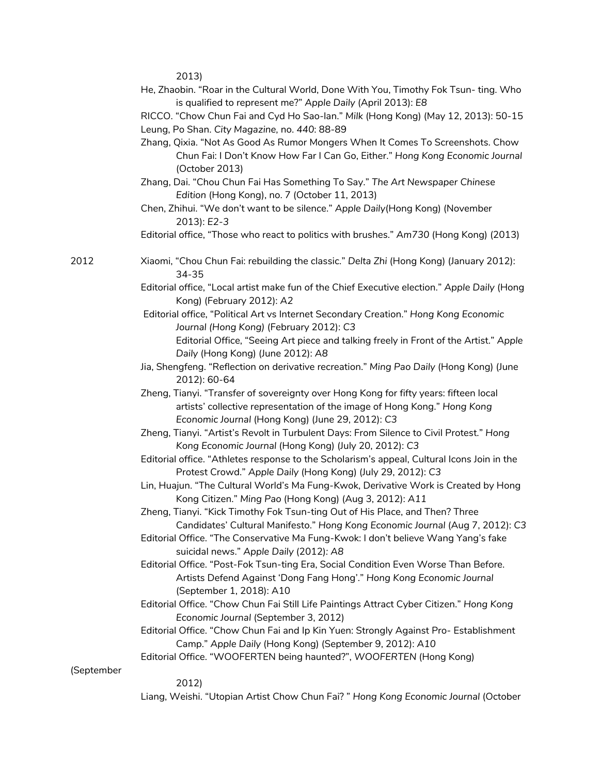2013)

- He, Zhaobin. "Roar in the Cultural World, Done With You, Timothy Fok Tsun- ting. Who is qualified to represent me?" *Apple Daily* (April 2013): *E8*
- RICCO. "Chow Chun Fai and Cyd Ho Sao-lan." *Milk* (Hong Kong) (May 12, 2013): 50-15 Leung, Po Shan. *City Magazine,* no. *440*: 88-89
- Zhang, Qixia. "Not As Good As Rumor Mongers When It Comes To Screenshots. Chow Chun Fai: I Don't Know How Far I Can Go, Either." *Hong Kong Economic Journal* (October 2013)
- Zhang, Dai. "Chou Chun Fai Has Something To Say." *The Art Newspaper Chinese Edition* (Hong Kong), no. 7 (October 11, 2013)
- Chen, Zhihui. "We don't want to be silence." *Apple Daily*(Hong Kong) (November 2013): *E2-3*
- Editorial office, "Those who react to politics with brushes." *Am730* (Hong Kong) (2013)
- 2012 Xiaomi, "Chou Chun Fai: rebuilding the classic." *Delta Zhi* (Hong Kong) (January 2012): 34-35
	- Editorial office, "Local artist make fun of the Chief Executive election." *Apple Daily* (Hong Kong) (February 2012): *A2*
	- Editorial office, "Political Art vs Internet Secondary Creation." *Hong Kong Economic Journal (Hong Kong)* (February 2012): *C3*
		- Editorial Office, "Seeing Art piece and talking freely in Front of the Artist." *Apple Daily* (Hong Kong) (June 2012): *A8*
	- Jia, Shengfeng. "Reflection on derivative recreation." *Ming Pao Daily* (Hong Kong) (June 2012): 60-64
	- Zheng, Tianyi. "Transfer of sovereignty over Hong Kong for fifty years: fifteen local artists' collective representation of the image of Hong Kong." *Hong Kong Economic Journal* (Hong Kong) (June 29, 2012): *C3*
	- Zheng, Tianyi. "Artist's Revolt in Turbulent Days: From Silence to Civil Protest." *Hong Kong Economic Journal* (Hong Kong) (July 20, 2012): *C3*
	- Editorial office. "Athletes response to the Scholarism's appeal, Cultural Icons Join in the Protest Crowd." *Apple Daily* (Hong Kong) (July 29, 2012): *C3*
	- Lin, Huajun. "The Cultural World's Ma Fung-Kwok, Derivative Work is Created by Hong Kong Citizen." *Ming Pao* (Hong Kong) (Aug 3, 2012): *A11*
	- Zheng, Tianyi. "Kick Timothy Fok Tsun-ting Out of His Place, and Then? Three Candidates' Cultural Manifesto." *Hong Kong Economic Journal* (Aug 7, 2012): *C3*
	- Editorial Office. "The Conservative Ma Fung-Kwok: I don't believe Wang Yang's fake suicidal news." *Apple Daily* (2012)*: A8*
	- Editorial Office. "Post-Fok Tsun-ting Era, Social Condition Even Worse Than Before. Artists Defend Against 'Dong Fang Hong'." *Hong Kong Economic Journal* (September 1, 2018): A10
	- Editorial Office. "Chow Chun Fai Still Life Paintings Attract Cyber Citizen." *Hong Kong Economic Journal* (September 3, 2012)
	- Editorial Office. "Chow Chun Fai and Ip Kin Yuen: Strongly Against Pro- Establishment Camp." *Apple Daily* (Hong Kong) (September 9, 2012): *A10*
	- Editorial Office. "WOOFERTEN being haunted?", *WOOFERTEN* (Hong Kong)

(September

2012)

Liang, Weishi. "Utopian Artist Chow Chun Fai? " *Hong Kong Economic Journal* (October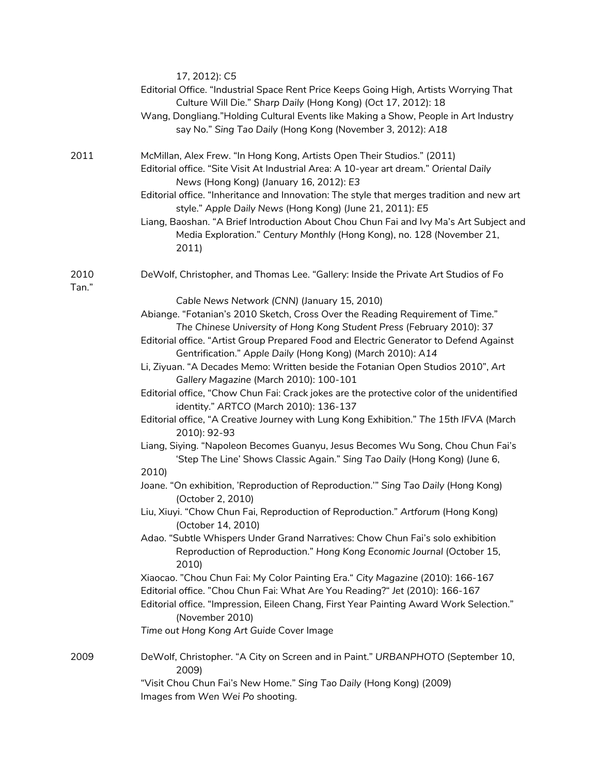|               | 17, 2012): C5<br>Editorial Office. "Industrial Space Rent Price Keeps Going High, Artists Worrying That<br>Culture Will Die." Sharp Daily (Hong Kong) (Oct 17, 2012): 18<br>Wang, Dongliang."Holding Cultural Events like Making a Show, People in Art Industry<br>say No." Sing Tao Daily (Hong Kong (November 3, 2012): A18                                                                                                                                                                                                                                                                                                                                                                                                                                                                                                                                                                                                                                                                                                                                                                                                                                                                                                                                                                                                                                                                                                                                                                                                                                                                                                               |
|---------------|---------------------------------------------------------------------------------------------------------------------------------------------------------------------------------------------------------------------------------------------------------------------------------------------------------------------------------------------------------------------------------------------------------------------------------------------------------------------------------------------------------------------------------------------------------------------------------------------------------------------------------------------------------------------------------------------------------------------------------------------------------------------------------------------------------------------------------------------------------------------------------------------------------------------------------------------------------------------------------------------------------------------------------------------------------------------------------------------------------------------------------------------------------------------------------------------------------------------------------------------------------------------------------------------------------------------------------------------------------------------------------------------------------------------------------------------------------------------------------------------------------------------------------------------------------------------------------------------------------------------------------------------|
| 2011          | McMillan, Alex Frew. "In Hong Kong, Artists Open Their Studios." (2011)<br>Editorial office. "Site Visit At Industrial Area: A 10-year art dream." Oriental Daily<br>News (Hong Kong) (January 16, 2012): E3<br>Editorial office. "Inheritance and Innovation: The style that merges tradition and new art<br>style." Apple Daily News (Hong Kong) (June 21, 2011): E5<br>Liang, Baoshan. "A Brief Introduction About Chou Chun Fai and Ivy Ma's Art Subject and<br>Media Exploration." Century Monthly (Hong Kong), no. 128 (November 21,<br>2011                                                                                                                                                                                                                                                                                                                                                                                                                                                                                                                                                                                                                                                                                                                                                                                                                                                                                                                                                                                                                                                                                          |
| 2010<br>Tan." | DeWolf, Christopher, and Thomas Lee. "Gallery: Inside the Private Art Studios of Fo                                                                                                                                                                                                                                                                                                                                                                                                                                                                                                                                                                                                                                                                                                                                                                                                                                                                                                                                                                                                                                                                                                                                                                                                                                                                                                                                                                                                                                                                                                                                                         |
|               | Cable News Network (CNN) (January 15, 2010)<br>Abiange. "Fotanian's 2010 Sketch, Cross Over the Reading Requirement of Time."<br>The Chinese University of Hong Kong Student Press (February 2010): 37<br>Editorial office. "Artist Group Prepared Food and Electric Generator to Defend Against<br>Gentrification." Apple Daily (Hong Kong) (March 2010): A14<br>Li, Ziyuan. "A Decades Memo: Written beside the Fotanian Open Studios 2010", Art<br>Gallery Magazine (March 2010): 100-101<br>Editorial office, "Chow Chun Fai: Crack jokes are the protective color of the unidentified<br>identity." ARTCO (March 2010): 136-137<br>Editorial office, "A Creative Journey with Lung Kong Exhibition." The 15th IFVA (March<br>2010): 92-93<br>Liang, Siying. "Napoleon Becomes Guanyu, Jesus Becomes Wu Song, Chou Chun Fai's<br>'Step The Line' Shows Classic Again." Sing Tao Daily (Hong Kong) (June 6,<br>2010)<br>Joane. "On exhibition, 'Reproduction of Reproduction." Sing Tao Daily (Hong Kong)<br>(October 2, 2010)<br>Liu, Xiuyi. "Chow Chun Fai, Reproduction of Reproduction." Artforum (Hong Kong)<br>(October 14, 2010)<br>Adao. "Subtle Whispers Under Grand Narratives: Chow Chun Fai's solo exhibition<br>Reproduction of Reproduction." Hong Kong Economic Journal (October 15,<br>2010)<br>Xiaocao. "Chou Chun Fai: My Color Painting Era." City Magazine (2010): 166-167<br>Editorial office. "Chou Chun Fai: What Are You Reading?" Jet (2010): 166-167<br>Editorial office. "Impression, Eileen Chang, First Year Painting Award Work Selection."<br>(November 2010)<br>Time out Hong Kong Art Guide Cover Image |
| 2009          | DeWolf, Christopher. "A City on Screen and in Paint." URBANPHOTO (September 10,                                                                                                                                                                                                                                                                                                                                                                                                                                                                                                                                                                                                                                                                                                                                                                                                                                                                                                                                                                                                                                                                                                                                                                                                                                                                                                                                                                                                                                                                                                                                                             |
|               | 2009)<br>"Visit Chou Chun Fai's New Home." Sing Tao Daily (Hong Kong) (2009)<br>Images from Wen Wei Po shooting.                                                                                                                                                                                                                                                                                                                                                                                                                                                                                                                                                                                                                                                                                                                                                                                                                                                                                                                                                                                                                                                                                                                                                                                                                                                                                                                                                                                                                                                                                                                            |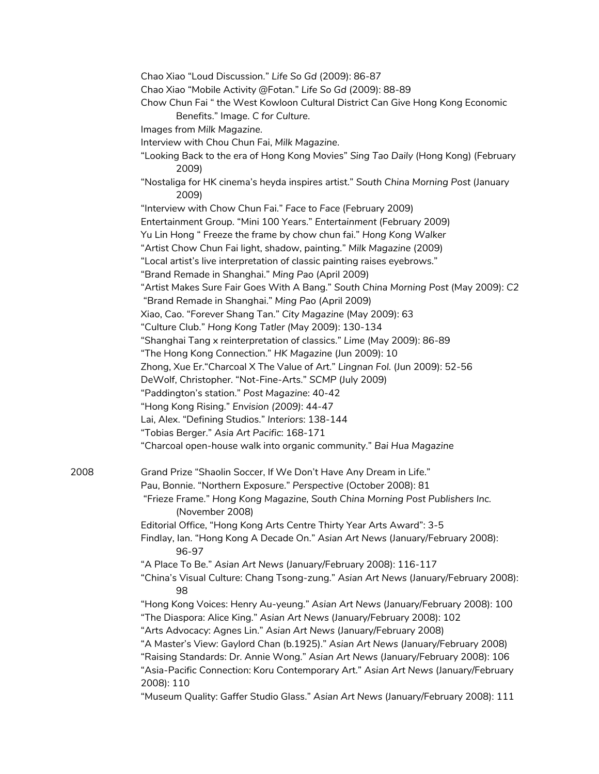|      | Chao Xiao "Loud Discussion." Life So Gd (2009): 86-87<br>Chao Xiao "Mobile Activity @Fotan." Life So Gd (2009): 88-89<br>Chow Chun Fai "the West Kowloon Cultural District Can Give Hong Kong Economic<br>Benefits." Image. C for Culture. |
|------|--------------------------------------------------------------------------------------------------------------------------------------------------------------------------------------------------------------------------------------------|
|      | Images from Milk Magazine.                                                                                                                                                                                                                 |
|      | Interview with Chou Chun Fai, Milk Magazine.                                                                                                                                                                                               |
|      | "Looking Back to the era of Hong Kong Movies" Sing Tao Daily (Hong Kong) (February<br>2009)                                                                                                                                                |
|      | "Nostaliga for HK cinema's heyda inspires artist." South China Morning Post (January<br>2009)                                                                                                                                              |
|      | "Interview with Chow Chun Fai." Face to Face (February 2009)                                                                                                                                                                               |
|      | Entertainment Group. "Mini 100 Years." Entertainment (February 2009)                                                                                                                                                                       |
|      | Yu Lin Hong " Freeze the frame by chow chun fai." Hong Kong Walker                                                                                                                                                                         |
|      | "Artist Chow Chun Fai light, shadow, painting." Milk Magazine (2009)                                                                                                                                                                       |
|      | "Local artist's live interpretation of classic painting raises eyebrows."                                                                                                                                                                  |
|      | "Brand Remade in Shanghai." Ming Pao (April 2009)                                                                                                                                                                                          |
|      | "Artist Makes Sure Fair Goes With A Bang." South China Morning Post (May 2009): C2<br>"Brand Remade in Shanghai." Ming Pao (April 2009)                                                                                                    |
|      | Xiao, Cao. "Forever Shang Tan." City Magazine (May 2009): 63                                                                                                                                                                               |
|      | "Culture Club." Hong Kong Tatler (May 2009): 130-134                                                                                                                                                                                       |
|      | "Shanghai Tang x reinterpretation of classics." Lime (May 2009): 86-89                                                                                                                                                                     |
|      | "The Hong Kong Connection." HK Magazine (Jun 2009): 10                                                                                                                                                                                     |
|      | Zhong, Xue Er. "Charcoal X The Value of Art." Lingnan Fol. (Jun 2009): 52-56                                                                                                                                                               |
|      | DeWolf, Christopher. "Not-Fine-Arts." SCMP (July 2009)                                                                                                                                                                                     |
|      | "Paddington's station." Post Magazine: 40-42                                                                                                                                                                                               |
|      | "Hong Kong Rising." Envision (2009): 44-47                                                                                                                                                                                                 |
|      | Lai, Alex. "Defining Studios." Interiors: 138-144                                                                                                                                                                                          |
|      | "Tobias Berger." Asia Art Pacific: 168-171                                                                                                                                                                                                 |
|      | "Charcoal open-house walk into organic community." Bai Hua Magazine                                                                                                                                                                        |
| 2008 | Grand Prize "Shaolin Soccer, If We Don't Have Any Dream in Life."                                                                                                                                                                          |
|      | Pau, Bonnie. "Northern Exposure." Perspective (October 2008): 81                                                                                                                                                                           |
|      | "Frieze Frame." Hong Kong Magazine, South China Morning Post Publishers Inc.<br>(November 2008)                                                                                                                                            |
|      | Editorial Office, "Hong Kong Arts Centre Thirty Year Arts Award": 3-5                                                                                                                                                                      |
|      | Findlay, Ian. "Hong Kong A Decade On." Asian Art News (January/February 2008):<br>96-97                                                                                                                                                    |
|      | "A Place To Be." Asian Art News (January/February 2008): 116-117                                                                                                                                                                           |
|      | "China's Visual Culture: Chang Tsong-zung." Asian Art News (January/February 2008):<br>98                                                                                                                                                  |
|      | "Hong Kong Voices: Henry Au-yeung." Asian Art News (January/February 2008): 100<br>"The Diaspora: Alice King." Asian Art News (January/February 2008): 102                                                                                 |
|      | "Arts Advocacy: Agnes Lin." Asian Art News (January/February 2008)                                                                                                                                                                         |
|      | "A Master's View: Gaylord Chan (b.1925)." Asian Art News (January/February 2008)                                                                                                                                                           |
|      | "Raising Standards: Dr. Annie Wong." Asian Art News (January/February 2008): 106<br>"Asia-Pacific Connection: Koru Contemporary Art." Asian Art News (January/February                                                                     |
|      | 2008): 110<br>"Museum Quality: Gaffer Studio Glass." Asian Art News (January/February 2008): 111                                                                                                                                           |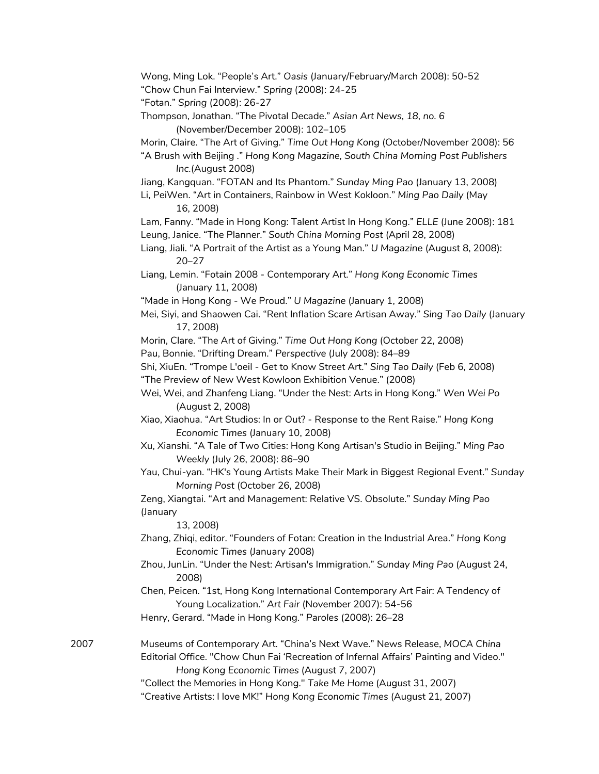Wong, Ming Lok. "People's Art." *Oasis* (January/February/March 2008): 50-52 "Chow Chun Fai Interview." *Spring* (2008): 24-25 "Fotan." *Spring* (2008): 26-27 Thompson, Jonathan. "The Pivotal Decade." *Asian Art News, 18, no. 6* (November/December 2008): 102–105 Morin, Claire. "The Art of Giving." *Time Out Hong Kong* (October/November 2008): 56 "A Brush with Beijing ." *Hong Kong Magazine, South China Morning Post Publishers Inc.*(August 2008) Jiang, Kangquan. "FOTAN and Its Phantom." *Sunday Ming Pao* (January 13, 2008) Li, PeiWen. "Art in Containers, Rainbow in West Kokloon." *Ming Pao Daily* (May 16, 2008) Lam, Fanny. "Made in Hong Kong: Talent Artist In Hong Kong." *ELLE* (June 2008): 181 Leung, Janice. "The Planner." *South China Morning Post* (April 28, 2008) Liang, Jiali. "A Portrait of the Artist as a Young Man." *U Magazine* (August 8, 2008): 20–27 Liang, Lemin. "Fotain 2008 - Contemporary Art." *Hong Kong Economic Times* (January 11, 2008) "Made in Hong Kong - We Proud." *U Magazine* (January 1, 2008) Mei, Siyi, and Shaowen Cai. "Rent Inflation Scare Artisan Away." *Sing Tao Daily* (January 17, 2008) Morin, Clare. "The Art of Giving." *Time Out Hong Kong* (October 22, 2008) Pau, Bonnie. "Drifting Dream." *Perspective* (July 2008): 84–89 Shi, XiuEn. "Trompe L'oeil - Get to Know Street Art." *Sing Tao Daily* (Feb 6, 2008) "The Preview of New West Kowloon Exhibition Venue." (2008) Wei, Wei, and Zhanfeng Liang. "Under the Nest: Arts in Hong Kong." *Wen Wei Po* (August 2, 2008) Xiao, Xiaohua. "Art Studios: In or Out? - Response to the Rent Raise." *Hong Kong Economic Times* (January 10, 2008) Xu, Xianshi. "A Tale of Two Cities: Hong Kong Artisan's Studio in Beijing." *Ming Pao Weekly* (July 26, 2008): 86–90 Yau, Chui-yan. "HK's Young Artists Make Their Mark in Biggest Regional Event." *Sunday Morning Post* (October 26, 2008) Zeng, Xiangtai. "Art and Management: Relative VS. Obsolute." *Sunday Ming Pao* (January 13, 2008) Zhang, Zhiqi, editor. "Founders of Fotan: Creation in the Industrial Area." *Hong Kong Economic Times* (January 2008) Zhou, JunLin. "Under the Nest: Artisan's Immigration." *Sunday Ming Pao* (August 24, 2008) Chen, Peicen. "1st, Hong Kong International Contemporary Art Fair: A Tendency of Young Localization." *Art Fair* (November 2007): 54-56 Henry, Gerard. "Made in Hong Kong." *Paroles* (2008): 26–28 2007 Museums of Contemporary Art. "China's Next Wave." News Release, *MOCA China* Editorial Office. "Chow Chun Fai 'Recreation of Infernal Affairs' Painting and Video." *Hong Kong Economic Times* (August 7, 2007) "Collect the Memories in Hong Kong." *Take Me Home* (August 31, 2007) "Creative Artists: I love MK!" *Hong Kong Economic Times* (August 21, 2007)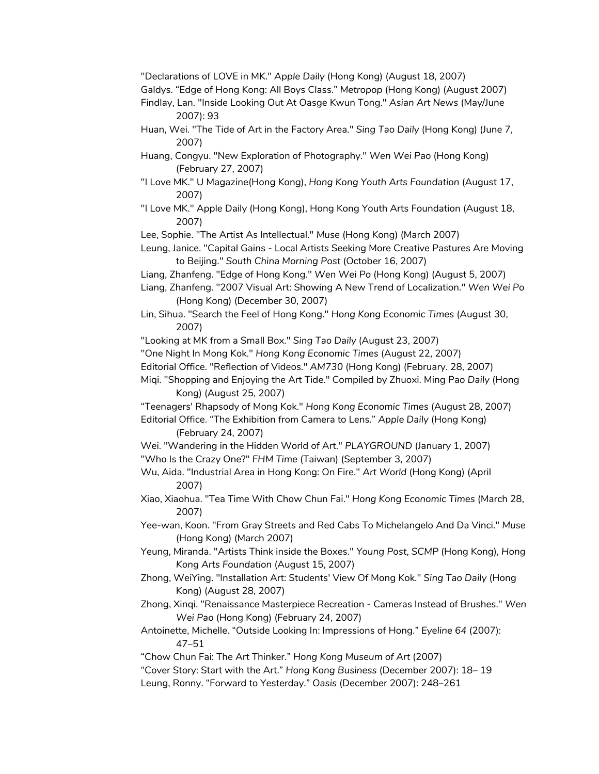"Declarations of LOVE in MK." *Apple Daily* (Hong Kong) (August 18, 2007)

Galdys. "Edge of Hong Kong: All Boys Class." *Metropop* (Hong Kong) (August 2007)

Findlay, Lan. "Inside Looking Out At Oasge Kwun Tong." *Asian Art News* (May/June 2007): 93

Huan, Wei. "The Tide of Art in the Factory Area." *Sing Tao Daily* (Hong Kong) (June 7, 2007)

Huang, Congyu. "New Exploration of Photography." *Wen Wei Pao* (Hong Kong) (February 27, 2007)

- "I Love MK." U Magazine(Hong Kong), *Hong Kong Youth Arts Foundation* (August 17, 2007)
- "I Love MK." Apple Daily (Hong Kong), Hong Kong Youth Arts Foundation (August 18, 2007)

Lee, Sophie. "The Artist As Intellectual." *Muse* (Hong Kong) (March 2007)

- Leung, Janice. "Capital Gains Local Artists Seeking More Creative Pastures Are Moving to Beijing." *South China Morning Post* (October 16, 2007)
- Liang, Zhanfeng. "Edge of Hong Kong." *Wen Wei Po* (Hong Kong) (August 5, 2007)
- Liang, Zhanfeng. "2007 Visual Art: Showing A New Trend of Localization." *Wen Wei Po* (Hong Kong) (December 30, 2007)
- Lin, Sihua. "Search the Feel of Hong Kong." *Hong Kong Economic Times* (August 30, 2007)

"Looking at MK from a Small Box." *Sing Tao Daily* (August 23, 2007)

- "One Night In Mong Kok." *Hong Kong Economic Times* (August 22, 2007)
- Editorial Office. "Reflection of Videos." *AM730* (Hong Kong) (February. 28, 2007)

Miqi. "Shopping and Enjoying the Art Tide." Compiled by Zhuoxi. Ming Pao *Daily* (Hong Kong) (August 25, 2007)

"Teenagers' Rhapsody of Mong Kok." *Hong Kong Economic Times* (August 28, 2007) Editorial Office. "The Exhibition from Camera to Lens." *Apple Daily* (Hong Kong)

(February 24, 2007)

Wei. "Wandering in the Hidden World of Art." *PLAYGROUND* (January 1, 2007) "Who Is the Crazy One?" *FHM Time* (Taiwan) (September 3, 2007)

Wu, Aida. "Industrial Area in Hong Kong: On Fire." *Art World* (Hong Kong) (April 2007)

Xiao, Xiaohua. "Tea Time With Chow Chun Fai." *Hong Kong Economic Times* (March 28, 2007)

Yee-wan, Koon. "From Gray Streets and Red Cabs To Michelangelo And Da Vinci." *Muse* (Hong Kong) (March 2007)

- Yeung, Miranda. "Artists Think inside the Boxes." *Young Post*, *SCMP* (Hong Kong), *Hong Kong Arts Foundation* (August 15, 2007)
- Zhong, WeiYing. "Installation Art: Students' View Of Mong Kok." *Sing Tao Daily* (Hong Kong) (August 28, 2007)

Zhong, Xinqi. "Renaissance Masterpiece Recreation - Cameras Instead of Brushes." *Wen Wei Pao* (Hong Kong) (February 24, 2007)

Antoinette, Michelle. "Outside Looking In: Impressions of Hong." *Eyeline 64* (2007): 47–51

"Chow Chun Fai: The Art Thinker." *Hong Kong Museum of Art* (2007)

"Cover Story: Start with the Art." *Hong Kong Business* (December 2007): 18– 19

Leung, Ronny. "Forward to Yesterday." *Oasis* (December 2007): 248–261